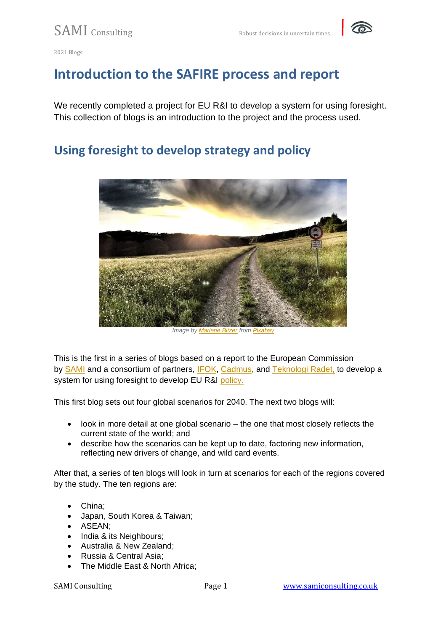

# **Introduction to the SAFIRE process and report**

We recently completed a project for EU R&I to develop a system for using foresight. This collection of blogs is an introduction to the project and the process used.

## **Using foresight to develop strategy and policy**



*Image by [Marlene Bitzer](https://pixabay.com/users/marlenebitzer-1031903/?utm_source=link-attribution&utm_medium=referral&utm_campaign=image&utm_content=820298) from [Pixabay](https://pixabay.com/?utm_source=link-attribution&utm_medium=referral&utm_campaign=image&utm_content=820298)*

This is the first in a series of blogs based on a report to the European Commission by [SAMI](https://samiconsulting.co.uk/) and a consortium of partners, [IFOK,](https://www.ifok.de/en/) [Cadmus,](https://cadmusgroup.com/) and [Teknologi Radet,](https://tekno.dk/?lang=en) to develop a system for using foresight to develop EU R&I [policy.](https://op.europa.eu/en/publication-detail/-/publication/e436b4b6-fa50-11eb-b520-01aa75ed71a1/language-en/format-PDF/source-222702137)

This first blog sets out four global scenarios for 2040. The next two blogs will:

- look in more detail at one global scenario the one that most closely reflects the current state of the world; and
- describe how the scenarios can be kept up to date, factoring new information, reflecting new drivers of change, and wild card events.

After that, a series of ten blogs will look in turn at scenarios for each of the regions covered by the study. The ten regions are:

- China;
- Japan, South Korea & Taiwan;
- ASEAN;
- India & its Neighbours;
- Australia & New Zealand;
- Russia & Central Asia;
- The Middle East & North Africa;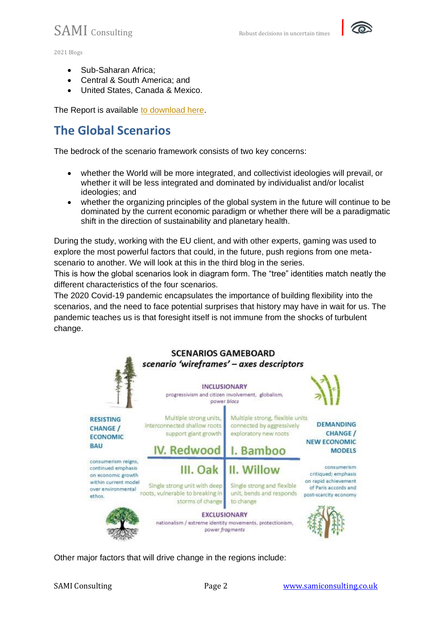

- Sub-Saharan Africa;
- Central & South America; and
- United States, Canada & Mexico.

The Report is available [to download here.](https://op.europa.eu/en/publication-detail/-/publication/e436b4b6-fa50-11eb-b520-01aa75ed71a1/language-en/format-PDF/source-222702137)

## **The Global Scenarios**

The bedrock of the scenario framework consists of two key concerns:

- whether the World will be more integrated, and collectivist ideologies will prevail, or whether it will be less integrated and dominated by individualist and/or localist ideologies; and
- whether the organizing principles of the global system in the future will continue to be dominated by the current economic paradigm or whether there will be a paradigmatic shift in the direction of sustainability and planetary health.

During the study, working with the EU client, and with other experts, gaming was used to explore the most powerful factors that could, in the future, push regions from one metascenario to another. We will look at this in the third blog in the series.

This is how the global scenarios look in diagram form. The "tree" identities match neatly the different characteristics of the four scenarios.

The 2020 Covid-19 pandemic encapsulates the importance of building flexibility into the scenarios, and the need to face potential surprises that history may have in wait for us. The pandemic teaches us is that foresight itself is not immune from the shocks of turbulent change.



Other major factors that will drive change in the regions include: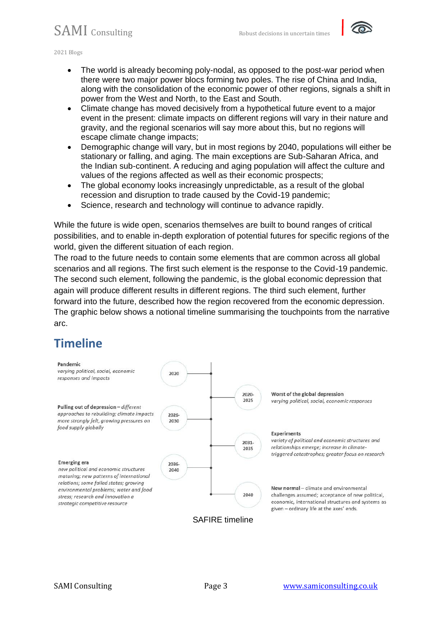

2021 Blogs

- The world is already becoming poly-nodal, as opposed to the post-war period when there were two major power blocs forming two poles. The rise of China and India, along with the consolidation of the economic power of other regions, signals a shift in power from the West and North, to the East and South.
- Climate change has moved decisively from a hypothetical future event to a major event in the present: climate impacts on different regions will vary in their nature and gravity, and the regional scenarios will say more about this, but no regions will escape climate change impacts;
- Demographic change will vary, but in most regions by 2040, populations will either be stationary or falling, and aging. The main exceptions are Sub-Saharan Africa, and the Indian sub-continent. A reducing and aging population will affect the culture and values of the regions affected as well as their economic prospects;
- The global economy looks increasingly unpredictable, as a result of the global recession and disruption to trade caused by the Covid-19 pandemic;
- Science, research and technology will continue to advance rapidly.

While the future is wide open, scenarios themselves are built to bound ranges of critical possibilities, and to enable in-depth exploration of potential futures for specific regions of the world, given the different situation of each region.

The road to the future needs to contain some elements that are common across all global scenarios and all regions. The first such element is the response to the Covid-19 pandemic. The second such element, following the pandemic, is the global economic depression that again will produce different results in different regions. The third such element, further forward into the future, described how the region recovered from the economic depression. The graphic below shows a notional timeline summarising the touchpoints from the narrative arc.

### **Timeline**

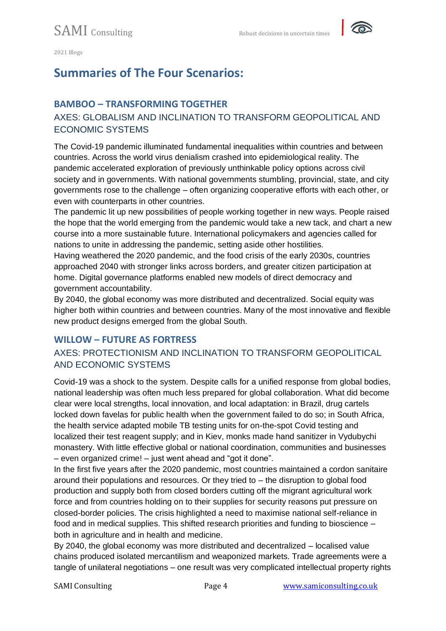

# **Summaries of The Four Scenarios:**

#### **BAMBOO – TRANSFORMING TOGETHER**

#### AXES: GLOBALISM AND INCLINATION TO TRANSFORM GEOPOLITICAL AND ECONOMIC SYSTEMS

The Covid-19 pandemic illuminated fundamental inequalities within countries and between countries. Across the world virus denialism crashed into epidemiological reality. The pandemic accelerated exploration of previously unthinkable policy options across civil society and in governments. With national governments stumbling, provincial, state, and city governments rose to the challenge – often organizing cooperative efforts with each other, or even with counterparts in other countries.

The pandemic lit up new possibilities of people working together in new ways. People raised the hope that the world emerging from the pandemic would take a new tack, and chart a new course into a more sustainable future. International policymakers and agencies called for nations to unite in addressing the pandemic, setting aside other hostilities.

Having weathered the 2020 pandemic, and the food crisis of the early 2030s, countries approached 2040 with stronger links across borders, and greater citizen participation at home. Digital governance platforms enabled new models of direct democracy and government accountability.

By 2040, the global economy was more distributed and decentralized. Social equity was higher both within countries and between countries. Many of the most innovative and flexible new product designs emerged from the global South.

#### **WILLOW – FUTURE AS FORTRESS**

#### AXES: PROTECTIONISM AND INCLINATION TO TRANSFORM GEOPOLITICAL AND ECONOMIC SYSTEMS

Covid-19 was a shock to the system. Despite calls for a unified response from global bodies, national leadership was often much less prepared for global collaboration. What did become clear were local strengths, local innovation, and local adaptation: in Brazil, drug cartels locked down favelas for public health when the government failed to do so; in South Africa, the health service adapted mobile TB testing units for on-the-spot Covid testing and localized their test reagent supply; and in Kiev, monks made hand sanitizer in Vydubychi monastery. With little effective global or national coordination, communities and businesses – even organized crime! – just went ahead and "got it done".

In the first five years after the 2020 pandemic, most countries maintained a cordon sanitaire around their populations and resources. Or they tried to – the disruption to global food production and supply both from closed borders cutting off the migrant agricultural work force and from countries holding on to their supplies for security reasons put pressure on closed-border policies. The crisis highlighted a need to maximise national self-reliance in food and in medical supplies. This shifted research priorities and funding to bioscience – both in agriculture and in health and medicine.

By 2040, the global economy was more distributed and decentralized – localised value chains produced isolated mercantilism and weaponized markets. Trade agreements were a tangle of unilateral negotiations – one result was very complicated intellectual property rights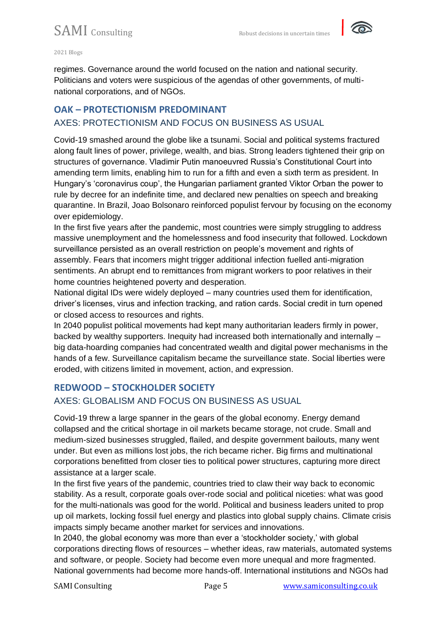

#### 2021 Blogs

regimes. Governance around the world focused on the nation and national security. Politicians and voters were suspicious of the agendas of other governments, of multinational corporations, and of NGOs.

#### **OAK – PROTECTIONISM PREDOMINANT** AXES: PROTECTIONISM AND FOCUS ON BUSINESS AS USUAL

Covid-19 smashed around the globe like a tsunami. Social and political systems fractured along fault lines of power, privilege, wealth, and bias. Strong leaders tightened their grip on structures of governance. Vladimir Putin manoeuvred Russia's Constitutional Court into amending term limits, enabling him to run for a fifth and even a sixth term as president. In Hungary's 'coronavirus coup', the Hungarian parliament granted Viktor Orban the power to rule by decree for an indefinite time, and declared new penalties on speech and breaking quarantine. In Brazil, Joao Bolsonaro reinforced populist fervour by focusing on the economy over epidemiology.

In the first five years after the pandemic, most countries were simply struggling to address massive unemployment and the homelessness and food insecurity that followed. Lockdown surveillance persisted as an overall restriction on people's movement and rights of assembly. Fears that incomers might trigger additional infection fuelled anti-migration sentiments. An abrupt end to remittances from migrant workers to poor relatives in their home countries heightened poverty and desperation.

National digital IDs were widely deployed – many countries used them for identification, driver's licenses, virus and infection tracking, and ration cards. Social credit in turn opened or closed access to resources and rights.

In 2040 populist political movements had kept many authoritarian leaders firmly in power, backed by wealthy supporters. Inequity had increased both internationally and internally – big data-hoarding companies had concentrated wealth and digital power mechanisms in the hands of a few. Surveillance capitalism became the surveillance state. Social liberties were eroded, with citizens limited in movement, action, and expression.

#### **REDWOOD – STOCKHOLDER SOCIETY**

#### AXES: GLOBALISM AND FOCUS ON BUSINESS AS USUAL

Covid-19 threw a large spanner in the gears of the global economy. Energy demand collapsed and the critical shortage in oil markets became storage, not crude. Small and medium-sized businesses struggled, flailed, and despite government bailouts, many went under. But even as millions lost jobs, the rich became richer. Big firms and multinational corporations benefitted from closer ties to political power structures, capturing more direct assistance at a larger scale.

In the first five years of the pandemic, countries tried to claw their way back to economic stability. As a result, corporate goals over-rode social and political niceties: what was good for the multi-nationals was good for the world. Political and business leaders united to prop up oil markets, locking fossil fuel energy and plastics into global supply chains. Climate crisis impacts simply became another market for services and innovations.

In 2040, the global economy was more than ever a 'stockholder society,' with global corporations directing flows of resources – whether ideas, raw materials, automated systems and software, or people. Society had become even more unequal and more fragmented. National governments had become more hands-off. International institutions and NGOs had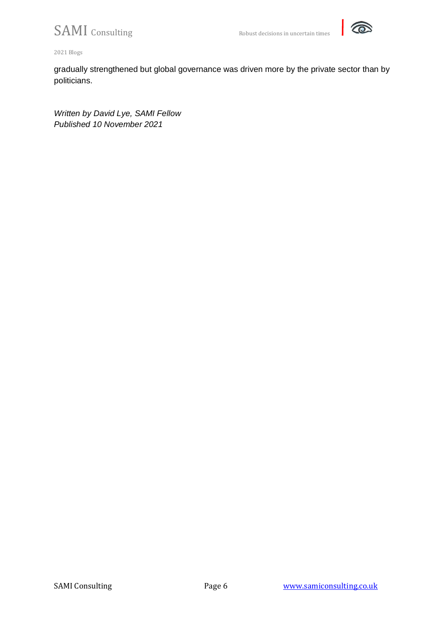

2021 Blogs

gradually strengthened but global governance was driven more by the private sector than by politicians.

*Written by David Lye, SAMI Fellow Published 10 November 2021*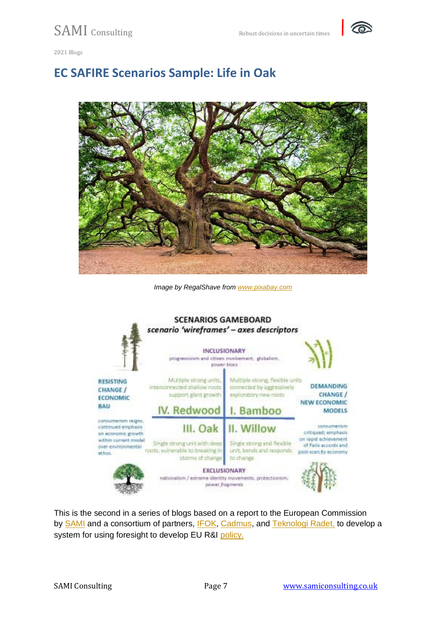

## **EC SAFIRE Scenarios Sample: Life in Oak**



*Image by RegalShave from [www.pixabay.com](https://pixabay.com/)*



This is the second in a series of blogs based on a report to the European Commission by [SAMI](https://samiconsulting.co.uk/) and a consortium of partners, [IFOK,](https://www.ifok.de/en/) [Cadmus,](https://cadmusgroup.com/) and [Teknologi Radet,](https://tekno.dk/?lang=en) to develop a system for using foresight to develop EU R&I [policy.](https://op.europa.eu/en/publication-detail/-/publication/e436b4b6-fa50-11eb-b520-01aa75ed71a1/language-en/format-PDF/source-222702137)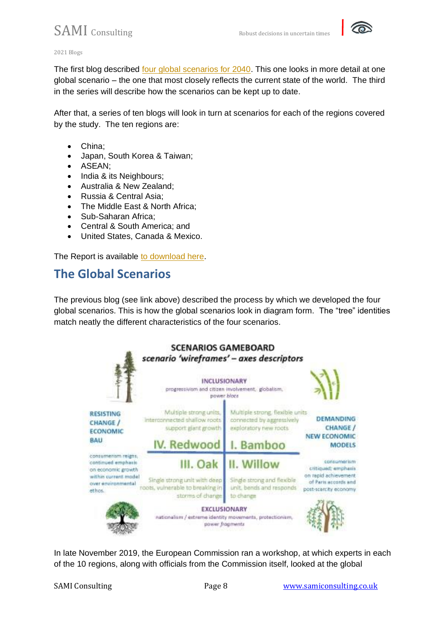

#### 2021 Blogs

The first blog described [four global scenarios for 2040.](https://samiconsulting.co.uk/using-foresight-to-develop-strategy-and-policy/) This one looks in more detail at one global scenario – the one that most closely reflects the current state of the world. The third in the series will describe how the scenarios can be kept up to date.

After that, a series of ten blogs will look in turn at scenarios for each of the regions covered by the study. The ten regions are:

- China;
- Japan, South Korea & Taiwan;
- ASEAN;
- India & its Neighbours;
- Australia & New Zealand;
- Russia & Central Asia;
- The Middle East & North Africa;
- Sub-Saharan Africa;
- Central & South America; and
- United States, Canada & Mexico.

The Report is available [to download here.](https://op.europa.eu/en/publication-detail/-/publication/e436b4b6-fa50-11eb-b520-01aa75ed71a1/language-en/format-PDF/source-222702137)

### **The Global Scenarios**

The previous blog (see link above) described the process by which we developed the four global scenarios. This is how the global scenarios look in diagram form. The "tree" identities match neatly the different characteristics of the four scenarios.



In late November 2019, the European Commission ran a workshop, at which experts in each of the 10 regions, along with officials from the Commission itself, looked at the global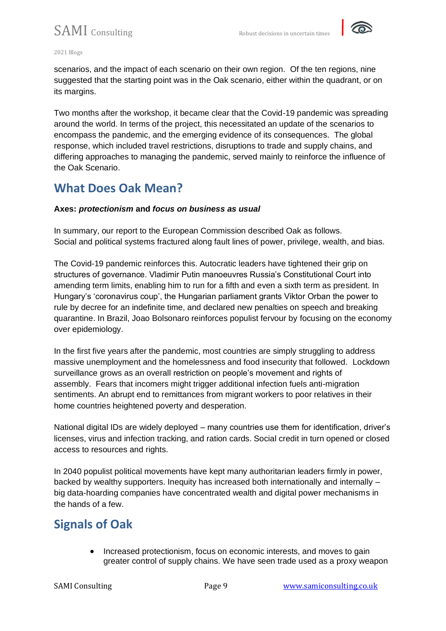

#### 2021 Blogs

scenarios, and the impact of each scenario on their own region. Of the ten regions, nine suggested that the starting point was in the Oak scenario, either within the quadrant, or on its margins.

Two months after the workshop, it became clear that the Covid-19 pandemic was spreading around the world. In terms of the project, this necessitated an update of the scenarios to encompass the pandemic, and the emerging evidence of its consequences. The global response, which included travel restrictions, disruptions to trade and supply chains, and differing approaches to managing the pandemic, served mainly to reinforce the influence of the Oak Scenario.

## **What Does Oak Mean?**

#### **Axes:** *protectionism* **and** *focus on business as usual*

In summary, our report to the European Commission described Oak as follows. Social and political systems fractured along fault lines of power, privilege, wealth, and bias.

The Covid-19 pandemic reinforces this. Autocratic leaders have tightened their grip on structures of governance. Vladimir Putin manoeuvres Russia's Constitutional Court into amending term limits, enabling him to run for a fifth and even a sixth term as president. In Hungary's 'coronavirus coup', the Hungarian parliament grants Viktor Orban the power to rule by decree for an indefinite time, and declared new penalties on speech and breaking quarantine. In Brazil, Joao Bolsonaro reinforces populist fervour by focusing on the economy over epidemiology.

In the first five years after the pandemic, most countries are simply struggling to address massive unemployment and the homelessness and food insecurity that followed. Lockdown surveillance grows as an overall restriction on people's movement and rights of assembly. Fears that incomers might trigger additional infection fuels anti-migration sentiments. An abrupt end to remittances from migrant workers to poor relatives in their home countries heightened poverty and desperation.

National digital IDs are widely deployed – many countries use them for identification, driver's licenses, virus and infection tracking, and ration cards. Social credit in turn opened or closed access to resources and rights.

In 2040 populist political movements have kept many authoritarian leaders firmly in power, backed by wealthy supporters. Inequity has increased both internationally and internally – big data-hoarding companies have concentrated wealth and digital power mechanisms in the hands of a few.

### **Signals of Oak**

• Increased protectionism, focus on economic interests, and moves to gain greater control of supply chains. We have seen trade used as a proxy weapon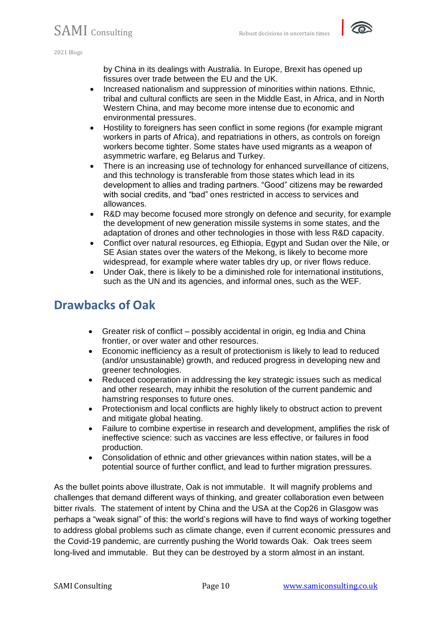

by China in its dealings with Australia. In Europe, Brexit has opened up fissures over trade between the EU and the UK.

- Increased nationalism and suppression of minorities within nations. Ethnic, tribal and cultural conflicts are seen in the Middle East, in Africa, and in North Western China, and may become more intense due to economic and environmental pressures.
- Hostility to foreigners has seen conflict in some regions (for example migrant workers in parts of Africa), and repatriations in others, as controls on foreign workers become tighter. Some states have used migrants as a weapon of asymmetric warfare, eg Belarus and Turkey.
- There is an increasing use of technology for enhanced surveillance of citizens, and this technology is transferable from those states which lead in its development to allies and trading partners. "Good" citizens may be rewarded with social credits, and "bad" ones restricted in access to services and allowances.
- R&D may become focused more strongly on defence and security, for example the development of new generation missile systems in some states, and the adaptation of drones and other technologies in those with less R&D capacity.
- Conflict over natural resources, eg Ethiopia, Egypt and Sudan over the Nile, or SE Asian states over the waters of the Mekong, is likely to become more widespread, for example where water tables dry up, or river flows reduce.
- Under Oak, there is likely to be a diminished role for international institutions, such as the UN and its agencies, and informal ones, such as the WEF.

## **Drawbacks of Oak**

- Greater risk of conflict possibly accidental in origin, eg India and China frontier, or over water and other resources.
- Economic inefficiency as a result of protectionism is likely to lead to reduced (and/or unsustainable) growth, and reduced progress in developing new and greener technologies.
- Reduced cooperation in addressing the key strategic issues such as medical and other research, may inhibit the resolution of the current pandemic and hamstring responses to future ones.
- Protectionism and local conflicts are highly likely to obstruct action to prevent and mitigate global heating.
- Failure to combine expertise in research and development, amplifies the risk of ineffective science: such as vaccines are less effective, or failures in food production.
- Consolidation of ethnic and other grievances within nation states, will be a potential source of further conflict, and lead to further migration pressures.

As the bullet points above illustrate, Oak is not immutable. It will magnify problems and challenges that demand different ways of thinking, and greater collaboration even between bitter rivals. The statement of intent by China and the USA at the Cop26 in Glasgow was perhaps a "weak signal" of this: the world's regions will have to find ways of working together to address global problems such as climate change, even if current economic pressures and the Covid-19 pandemic, are currently pushing the World towards Oak. Oak trees seem long-lived and immutable. But they can be destroyed by a storm almost in an instant.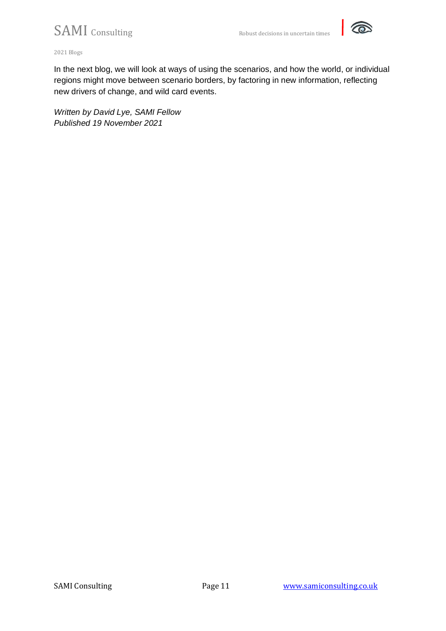

2021 Blogs

In the next blog, we will look at ways of using the scenarios, and how the world, or individual regions might move between scenario borders, by factoring in new information, reflecting new drivers of change, and wild card events.

*Written by David Lye, SAMI Fellow Published 19 November 2021*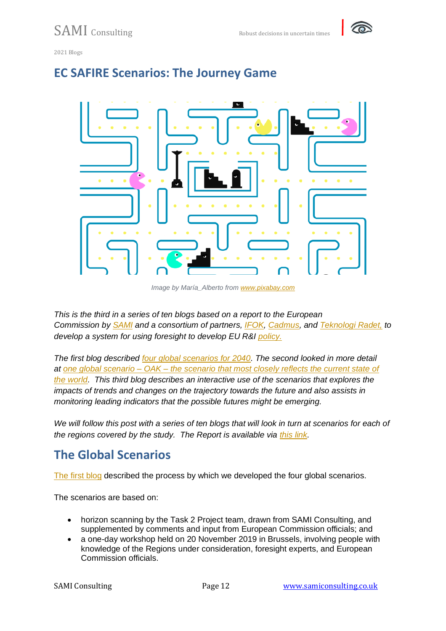



#### **EC SAFIRE Scenarios: The Journey Game**

*Image by María\_Alberto from [www.pixabay.com](https://pixabay.com/)*

*This is the third in a series of ten blogs based on a report to the European Commission by [SAMI](https://samiconsulting.co.uk/) and a consortium of partners, [IFOK,](https://www.ifok.de/en/) [Cadmus,](https://cadmusgroup.com/) and [Teknologi Radet,](https://tekno.dk/?lang=en) to develop a system for using foresight to develop EU R&I [policy.](https://op.europa.eu/en/publication-detail/-/publication/e436b4b6-fa50-11eb-b520-01aa75ed71a1/language-en/format-PDF/source-222702137)*

*The first blog described [four global scenarios for 2040.](https://samiconsulting.co.uk/using-foresight-to-develop-strategy-and-policy/) The second looked in more detail at one global scenario – OAK – [the scenario that most closely reflects the current state of](https://samiconsulting.co.uk/ec-safire-scenarios-sample-life-in-oak/)  [the world.](https://samiconsulting.co.uk/ec-safire-scenarios-sample-life-in-oak/) This third blog describes an interactive use of the scenarios that explores the impacts of trends and changes on the trajectory towards the future and also assists in monitoring leading indicators that the possible futures might be emerging.*

*We will follow this post with a series of ten blogs that will look in turn at scenarios for each of the regions covered by the study. The Report is available via [this link.](https://op.europa.eu/en/publication-detail/-/publication/e436b4b6-fa50-11eb-b520-01aa75ed71a1/language-en/format-PDF/source-222702137)*

## **The Global Scenarios**

[The first blog](https://samiconsulting.co.uk/using-foresight-to-develop-strategy-and-policy/) described the process by which we developed the four global scenarios.

The scenarios are based on:

- horizon scanning by the Task 2 Project team, drawn from SAMI Consulting, and supplemented by comments and input from European Commission officials; and
- a one-day workshop held on 20 November 2019 in Brussels, involving people with knowledge of the Regions under consideration, foresight experts, and European Commission officials.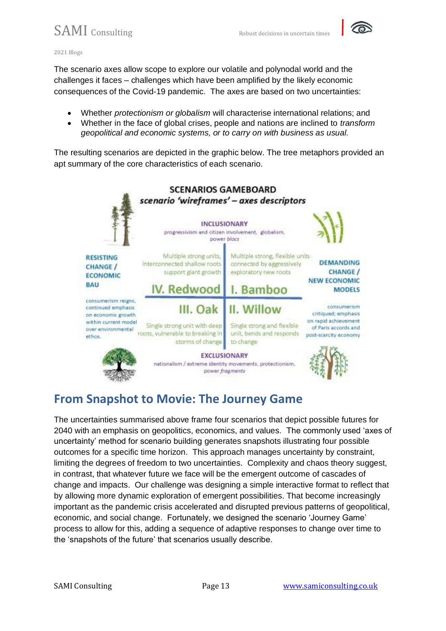

2021 Blogs

The scenario axes allow scope to explore our volatile and polynodal world and the challenges it faces – challenges which have been amplified by the likely economic consequences of the Covid-19 pandemic. The axes are based on two uncertainties:

- Whether *protectionism or globalism* will characterise international relations; and
- Whether in the face of global crises, people and nations are inclined to *transform geopolitical and economic systems, or to carry on with business as usual.*

The resulting scenarios are depicted in the graphic below. The tree metaphors provided an apt summary of the core characteristics of each scenario.



# **From Snapshot to Movie: The Journey Game**

The uncertainties summarised above frame four scenarios that depict possible futures for 2040 with an emphasis on geopolitics, economics, and values. The commonly used 'axes of uncertainty' method for scenario building generates snapshots illustrating four possible outcomes for a specific time horizon. This approach manages uncertainty by constraint, limiting the degrees of freedom to two uncertainties. Complexity and chaos theory suggest, in contrast, that whatever future we face will be the emergent outcome of cascades of change and impacts. Our challenge was designing a simple interactive format to reflect that by allowing more dynamic exploration of emergent possibilities. That become increasingly important as the pandemic crisis accelerated and disrupted previous patterns of geopolitical, economic, and social change. Fortunately, we designed the scenario 'Journey Game' process to allow for this, adding a sequence of adaptive responses to change over time to the 'snapshots of the future' that scenarios usually describe.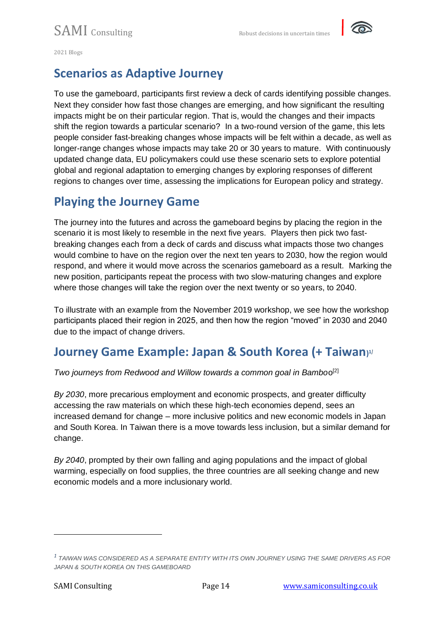

## **Scenarios as Adaptive Journey**

To use the gameboard, participants first review a deck of cards identifying possible changes. Next they consider how fast those changes are emerging, and how significant the resulting impacts might be on their particular region. That is, would the changes and their impacts shift the region towards a particular scenario? In a two-round version of the game, this lets people consider fast-breaking changes whose impacts will be felt within a decade, as well as longer-range changes whose impacts may take 20 or 30 years to mature. With continuously updated change data, EU policymakers could use these scenario sets to explore potential global and regional adaptation to emerging changes by exploring responses of different regions to changes over time, assessing the implications for European policy and strategy.

#### **Playing the Journey Game**

The journey into the futures and across the gameboard begins by placing the region in the scenario it is most likely to resemble in the next five years. Players then pick two fastbreaking changes each from a deck of cards and discuss what impacts those two changes would combine to have on the region over the next ten years to 2030, how the region would respond, and where it would move across the scenarios gameboard as a result. Marking the new position, participants repeat the process with two slow-maturing changes and explore where those changes will take the region over the next twenty or so years, to 2040.

To illustrate with an example from the November 2019 workshop, we see how the workshop participants placed their region in 2025, and then how the region "moved" in 2030 and 2040 due to the impact of change drivers.

## **Journey Game Example: Japan & South Korea (+ Taiwan) 1***]*

*Two journeys from Redwood and Willow towards a common goal in Bambo*o [2]

*By 2030*, more precarious employment and economic prospects, and greater difficulty accessing the raw materials on which these high-tech economies depend, sees an increased demand for change – more inclusive politics and new economic models in Japan and South Korea. In Taiwan there is a move towards less inclusion, but a similar demand for change.

*By 2040*, prompted by their own falling and aging populations and the impact of global warming, especially on food supplies, the three countries are all seeking change and new economic models and a more inclusionary world.

*<sup>1</sup> TAIWAN WAS CONSIDERED AS A SEPARATE ENTITY WITH ITS OWN JOURNEY USING THE SAME DRIVERS AS FOR JAPAN & SOUTH KOREA ON THIS GAMEBOARD*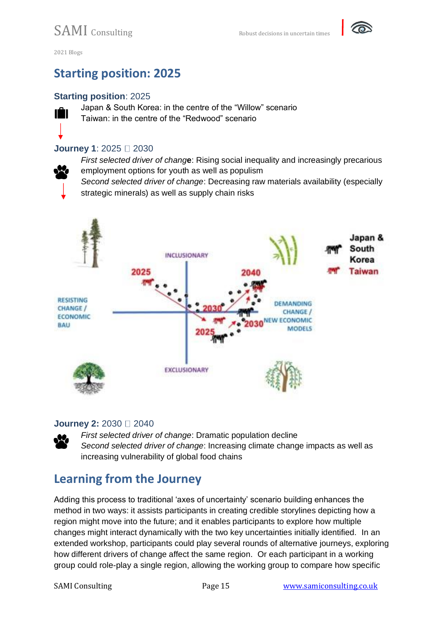

## **Starting position: 2025**

#### **Starting position**: 2025



Japan & South Korea: in the centre of the "Willow" scenario Taiwan: in the centre of the "Redwood" scenario

#### **Journey 1: 2025** □ 2030

*First selected driver of chang***e**: Rising social inequality and increasingly precarious employment options for youth as well as populism

*Second selected driver of change*: Decreasing raw materials availability (especially strategic minerals) as well as supply chain risks



#### **Journey 2: 2030** □ 2040

*First selected driver of change*: Dramatic population decline *Second selected driver of change*: Increasing climate change impacts as well as increasing vulnerability of global food chains

## **Learning from the Journey**

Adding this process to traditional 'axes of uncertainty' scenario building enhances the method in two ways: it assists participants in creating credible storylines depicting how a region might move into the future; and it enables participants to explore how multiple changes might interact dynamically with the two key uncertainties initially identified. In an extended workshop, participants could play several rounds of alternative journeys, exploring how different drivers of change affect the same region. Or each participant in a working group could role-play a single region, allowing the working group to compare how specific